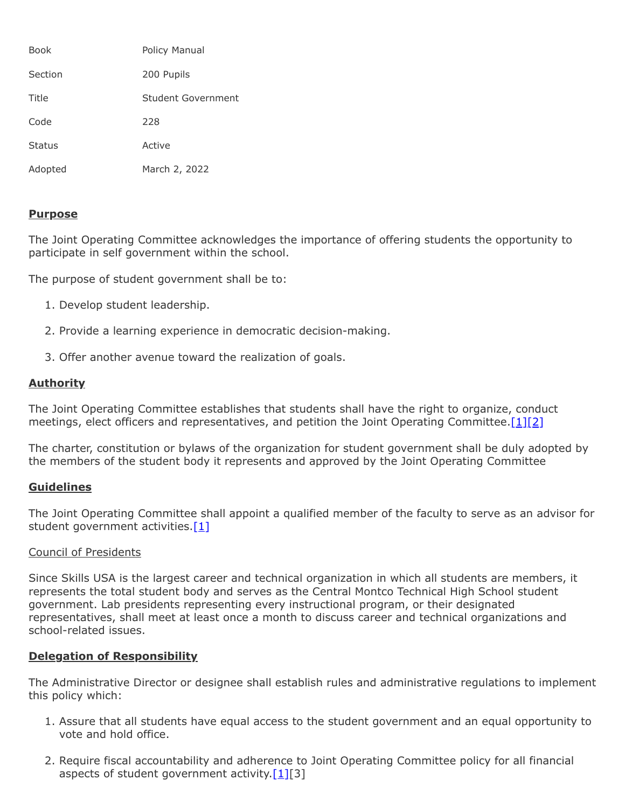| Book          | Policy Manual      |
|---------------|--------------------|
| Section       | 200 Pupils         |
| Title         | Student Government |
| Code          | 228                |
| <b>Status</b> | Active             |
| Adopted       | March 2, 2022      |

## **Purpose**

The Joint Operating Committee acknowledges the importance of offering students the opportunity to participate in self government within the school.

The purpose of student government shall be to:

- 1. Develop student leadership.
- 2. Provide a learning experience in democratic decision-making.
- 3. Offer another avenue toward the realization of goals.

# **Authority**

The Joint Operating Committee establishes that students shall have the right to organize, conduct meetings, elect officers and representatives, and petition the Joint Operating Committee. [\[1\]](http://www.legis.state.pa.us/cfdocs/legis/LI/uconsCheck.cfm?txtType=HTM&yr=1949&sessInd=0&smthLwInd=0&act=14&chpt=5&sctn=11&subsctn=0)[\[2\]](http://www.legis.state.pa.us/cfdocs/legis/LI/uconsCheck.cfm?txtType=HTM&yr=1949&sessInd=0&smthLwInd=0&act=14&chpt=18&sctn=50&subsctn=1)

The charter, constitution or bylaws of the organization for student government shall be duly adopted by the members of the student body it represents and approved by the Joint Operating Committee

### **Guidelines**

The Joint Operating Committee shall appoint a qualified member of the faculty to serve as an advisor for student government activities. $[1]$ 

### Council of Presidents

Since Skills USA is the largest career and technical organization in which all students are members, it represents the total student body and serves as the Central Montco Technical High School student government. Lab presidents representing every instructional program, or their designated representatives, shall meet at least once a month to discuss career and technical organizations and school-related issues.

# **Delegation of Responsibility**

The Administrative Director or designee shall establish rules and administrative regulations to implement this policy which:

- 1. Assure that all students have equal access to the student government and an equal opportunity to vote and hold office.
- 2. Require fiscal accountability and adherence to Joint Operating Committee policy for all financial aspects of student government activity. $[1][3]$